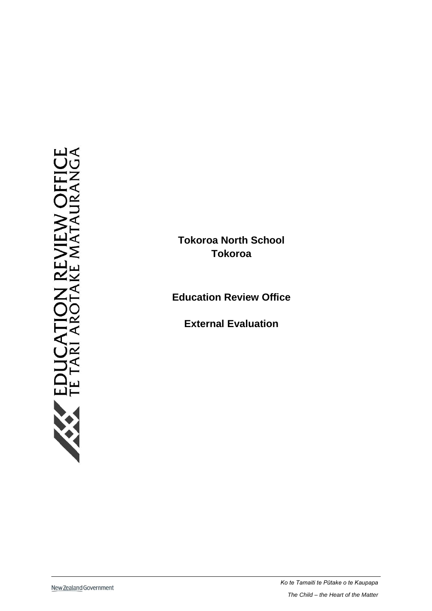**Tokoroa North School Tokoroa** 

**Education Review Office**

**External Evaluation**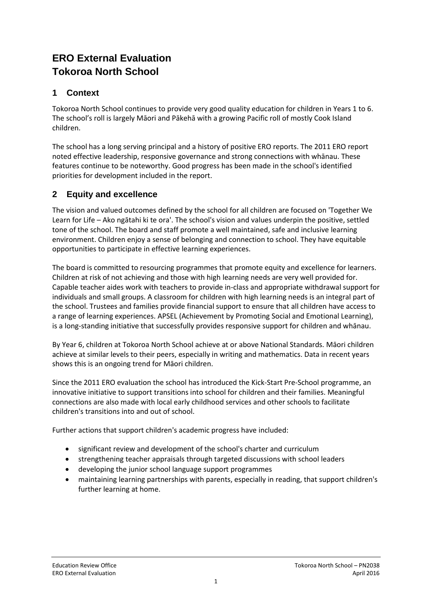# **ERO External Evaluation Tokoroa North School**

## **1 Context**

Tokoroa North School continues to provide very good quality education for children in Years 1 to 6. The school's roll is largely Māori and Pākehā with a growing Pacific roll of mostly Cook Island children.

The school has a long serving principal and a history of positive ERO reports. The 2011 ERO report noted effective leadership, responsive governance and strong connections with whānau. These features continue to be noteworthy. Good progress has been made in the school's identified priorities for development included in the report.

# **2 Equity and excellence**

The vision and valued outcomes defined by the school for all children are focused on 'Together We Learn for Life – Ako ngātahi ki te ora'. The school's vision and values underpin the positive, settled tone of the school. The board and staff promote a well maintained, safe and inclusive learning environment. Children enjoy a sense of belonging and connection to school. They have equitable opportunities to participate in effective learning experiences.

The board is committed to resourcing programmes that promote equity and excellence for learners. Children at risk of not achieving and those with high learning needs are very well provided for. Capable teacher aides work with teachers to provide in-class and appropriate withdrawal support for individuals and small groups. A classroom for children with high learning needs is an integral part of the school. Trustees and families provide financial support to ensure that all children have access to a range of learning experiences. APSEL (Achievement by Promoting Social and Emotional Learning), is a long-standing initiative that successfully provides responsive support for children and whānau.

By Year 6, children at Tokoroa North School achieve at or above National Standards. Māori children achieve at similar levels to their peers, especially in writing and mathematics. Data in recent years shows this is an ongoing trend for Māori children.

Since the 2011 ERO evaluation the school has introduced the Kick-Start Pre-School programme, an innovative initiative to support transitions into school for children and their families. Meaningful connections are also made with local early childhood services and other schools to facilitate children's transitions into and out of school.

Further actions that support children's academic progress have included:

- significant review and development of the school's charter and curriculum
- strengthening teacher appraisals through targeted discussions with school leaders
- developing the junior school language support programmes
- maintaining learning partnerships with parents, especially in reading, that support children's further learning at home.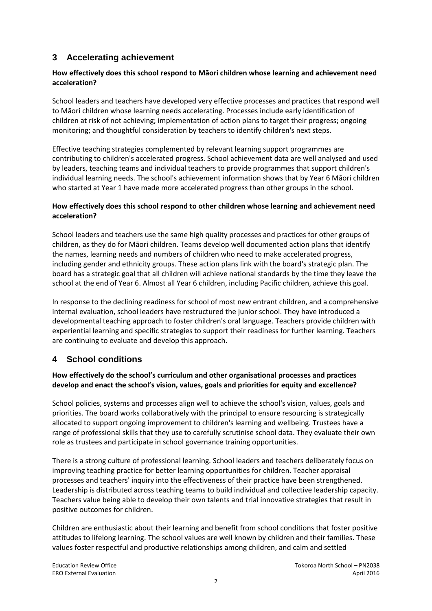# **3 Accelerating achievement**

#### **How effectively does this school respond to Māori children whose learning and achievement need acceleration?**

School leaders and teachers have developed very effective processes and practices that respond well to Māori children whose learning needs accelerating. Processes include early identification of children at risk of not achieving; implementation of action plans to target their progress; ongoing monitoring; and thoughtful consideration by teachers to identify children's next steps.

Effective teaching strategies complemented by relevant learning support programmes are contributing to children's accelerated progress. School achievement data are well analysed and used by leaders, teaching teams and individual teachers to provide programmes that support children's individual learning needs. The school's achievement information shows that by Year 6 Māori children who started at Year 1 have made more accelerated progress than other groups in the school.

#### **How effectively does this school respond to other children whose learning and achievement need acceleration?**

School leaders and teachers use the same high quality processes and practices for other groups of children, as they do for Māori children. Teams develop well documented action plans that identify the names, learning needs and numbers of children who need to make accelerated progress, including gender and ethnicity groups. These action plans link with the board's strategic plan. The board has a strategic goal that all children will achieve national standards by the time they leave the school at the end of Year 6. Almost all Year 6 children, including Pacific children, achieve this goal.

In response to the declining readiness for school of most new entrant children, and a comprehensive internal evaluation, school leaders have restructured the junior school. They have introduced a developmental teaching approach to foster children's oral language. Teachers provide children with experiential learning and specific strategies to support their readiness for further learning. Teachers are continuing to evaluate and develop this approach.

### **4 School conditions**

#### **How effectively do the school's curriculum and other organisational processes and practices develop and enact the school's vision, values, goals and priorities for equity and excellence?**

School policies, systems and processes align well to achieve the school's vision, values, goals and priorities. The board works collaboratively with the principal to ensure resourcing is strategically allocated to support ongoing improvement to children's learning and wellbeing. Trustees have a range of professional skills that they use to carefully scrutinise school data. They evaluate their own role as trustees and participate in school governance training opportunities.

There is a strong culture of professional learning. School leaders and teachers deliberately focus on improving teaching practice for better learning opportunities for children. Teacher appraisal processes and teachers' inquiry into the effectiveness of their practice have been strengthened. Leadership is distributed across teaching teams to build individual and collective leadership capacity. Teachers value being able to develop their own talents and trial innovative strategies that result in positive outcomes for children.

Children are enthusiastic about their learning and benefit from school conditions that foster positive attitudes to lifelong learning. The school values are well known by children and their families. These values foster respectful and productive relationships among children, and calm and settled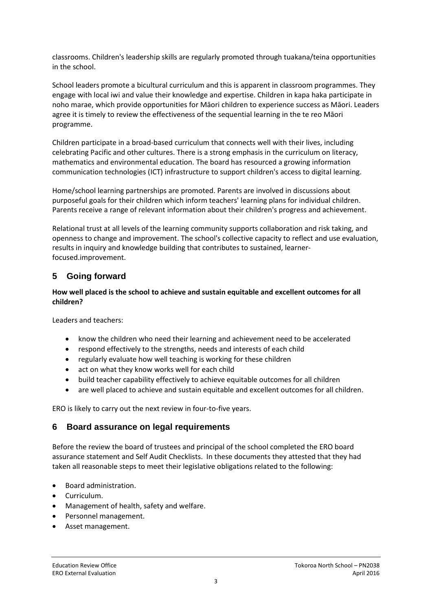classrooms. Children's leadership skills are regularly promoted through tuakana/teina opportunities in the school.

School leaders promote a bicultural curriculum and this is apparent in classroom programmes. They engage with local iwi and value their knowledge and expertise. Children in kapa haka participate in noho marae, which provide opportunities for Māori children to experience success as Māori. Leaders agree it is timely to review the effectiveness of the sequential learning in the te reo Māori programme.

Children participate in a broad-based curriculum that connects well with their lives, including celebrating Pacific and other cultures. There is a strong emphasis in the curriculum on literacy, mathematics and environmental education. The board has resourced a growing information communication technologies (ICT) infrastructure to support children's access to digital learning.

Home/school learning partnerships are promoted. Parents are involved in discussions about purposeful goals for their children which inform teachers' learning plans for individual children. Parents receive a range of relevant information about their children's progress and achievement.

Relational trust at all levels of the learning community supports collaboration and risk taking, and openness to change and improvement. The school's collective capacity to reflect and use evaluation, results in inquiry and knowledge building that contributes to sustained, learnerfocused.improvement.

### **5 Going forward**

#### **How well placed is the school to achieve and sustain equitable and excellent outcomes for all children?**

Leaders and teachers:

- know the children who need their learning and achievement need to be accelerated
- respond effectively to the strengths, needs and interests of each child
- regularly evaluate how well teaching is working for these children
- act on what they know works well for each child
- build teacher capability effectively to achieve equitable outcomes for all children
- are well placed to achieve and sustain equitable and excellent outcomes for all children.

ERO is likely to carry out the next review in four-to-five years.

#### **6 Board assurance on legal requirements**

Before the review the board of trustees and principal of the school completed the ERO board assurance statement and Self Audit Checklists. In these documents they attested that they had taken all reasonable steps to meet their legislative obligations related to the following:

- Board administration.
- Curriculum.
- Management of health, safety and welfare.
- Personnel management.
- Asset management.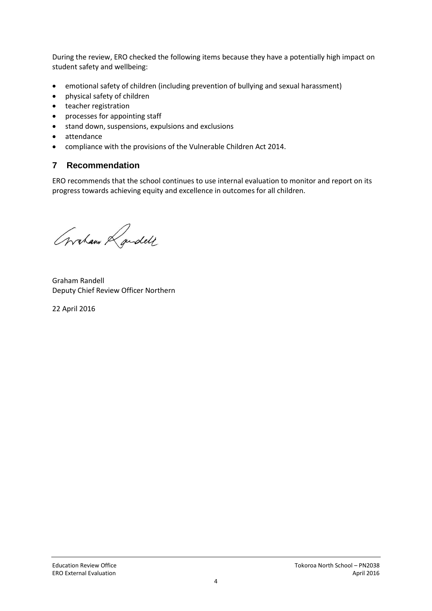During the review, ERO checked the following items because they have a potentially high impact on student safety and wellbeing:

- emotional safety of children (including prevention of bullying and sexual harassment)
- physical safety of children
- teacher registration
- processes for appointing staff
- stand down, suspensions, expulsions and exclusions
- attendance
- compliance with the provisions of the Vulnerable Children Act 2014.

### **7 Recommendation**

ERO recommends that the school continues to use internal evaluation to monitor and report on its progress towards achieving equity and excellence in outcomes for all children.

Graham Randell

Graham Randell Deputy Chief Review Officer Northern

22 April 2016